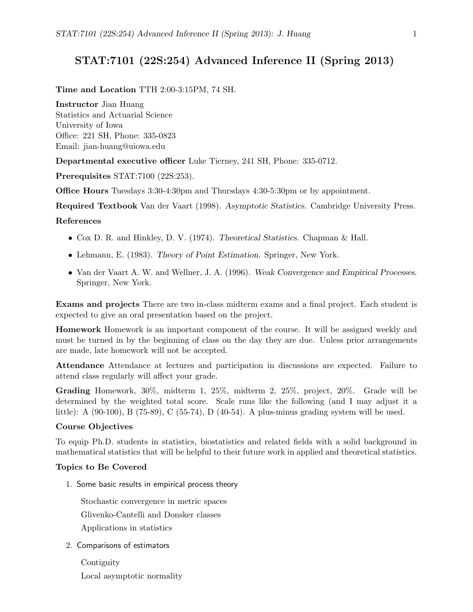# STAT:7101 (22S:254) Advanced Inference II (Spring 2013)

Time and Location TTH 2:00-3:15PM, 74 SH.

Instructor Jian Huang Statistics and Actuarial Science University of Iowa Office: 221 SH, Phone: 335-0823 Email: jian-huang@uiowa.edu

Departmental executive officer Luke Tierney, 241 SH, Phone: 335-0712.

Prerequisites STAT:7100 (22S:253).

Office Hours Tuesdays 3:30-4:30pm and Thursdays 4:30-5:30pm or by appointment.

Required Textbook Van der Vaart (1998). Asymptotic Statistics. Cambridge University Press.

## References

- Cox D. R. and Hinkley, D. V. (1974). Theoretical Statistics. Chapman & Hall.
- Lehmann, E. (1983). Theory of Point Estimation. Springer, New York.
- Van der Vaart A. W. and Wellner, J. A. (1996). Weak Convergence and Empirical Processes. Springer, New York.

Exams and projects There are two in-class midterm exams and a final project. Each student is expected to give an oral presentation based on the project.

Homework Homework is an important component of the course. It will be assigned weekly and must be turned in by the beginning of class on the day they are due. Unless prior arrangements are made, late homework will not be accepted.

Attendance Attendance at lectures and participation in discussions are expected. Failure to attend class regularly will affect your grade.

Grading Homework, 30%, midterm 1, 25%, midterm 2, 25%, project, 20%. Grade will be determined by the weighted total score. Scale runs like the following (and I may adjust it a little): A (90-100), B (75-89), C (55-74), D (40-54). A plus-minus grading system will be used.

#### Course Objectives

To equip Ph.D. students in statistics, biostatistics and related fields with a solid background in mathematical statistics that will be helpful to their future work in applied and theoretical statistics.

#### Topics to Be Covered

1. Some basic results in empirical process theory

Stochastic convergence in metric spaces Glivenko-Cantelli and Donsker classes Applications in statistics

2. Comparisons of estimators

**Contiguity** Local asymptotic normality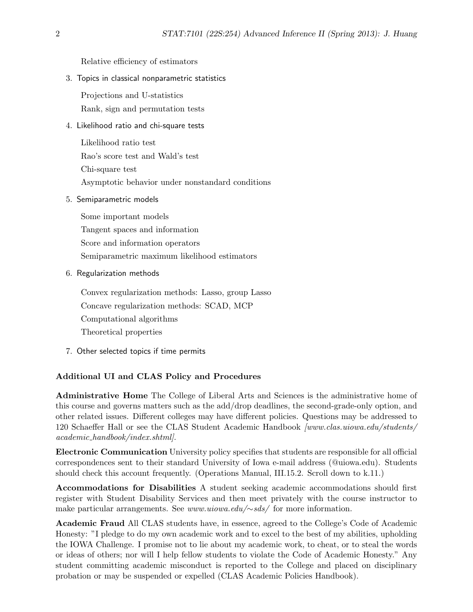Relative efficiency of estimators

3. Topics in classical nonparametric statistics

Projections and U-statistics Rank, sign and permutation tests

4. Likelihood ratio and chi-square tests

Likelihood ratio test Rao's score test and Wald's test Chi-square test Asymptotic behavior under nonstandard conditions

5. Semiparametric models

Some important models Tangent spaces and information Score and information operators Semiparametric maximum likelihood estimators

6. Regularization methods

Convex regularization methods: Lasso, group Lasso Concave regularization methods: SCAD, MCP Computational algorithms Theoretical properties

7. Other selected topics if time permits

### Additional UI and CLAS Policy and Procedures

Administrative Home The College of Liberal Arts and Sciences is the administrative home of this course and governs matters such as the add/drop deadlines, the second-grade-only option, and other related issues. Different colleges may have different policies. Questions may be addressed to 120 Schaeffer Hall or see the CLAS Student Academic Handbook [www.clas.uiowa.edu/students/ academic handbook/index.shtml].

Electronic Communication University policy specifies that students are responsible for all official correspondences sent to their standard University of Iowa e-mail address (@uiowa.edu). Students should check this account frequently. (Operations Manual, III.15.2. Scroll down to k.11.)

Accommodations for Disabilities A student seeking academic accommodations should first register with Student Disability Services and then meet privately with the course instructor to make particular arrangements. See www.uiowa.edu/∼sds/ for more information.

Academic Fraud All CLAS students have, in essence, agreed to the College's Code of Academic Honesty: "I pledge to do my own academic work and to excel to the best of my abilities, upholding the IOWA Challenge. I promise not to lie about my academic work, to cheat, or to steal the words or ideas of others; nor will I help fellow students to violate the Code of Academic Honesty." Any student committing academic misconduct is reported to the College and placed on disciplinary probation or may be suspended or expelled (CLAS Academic Policies Handbook).